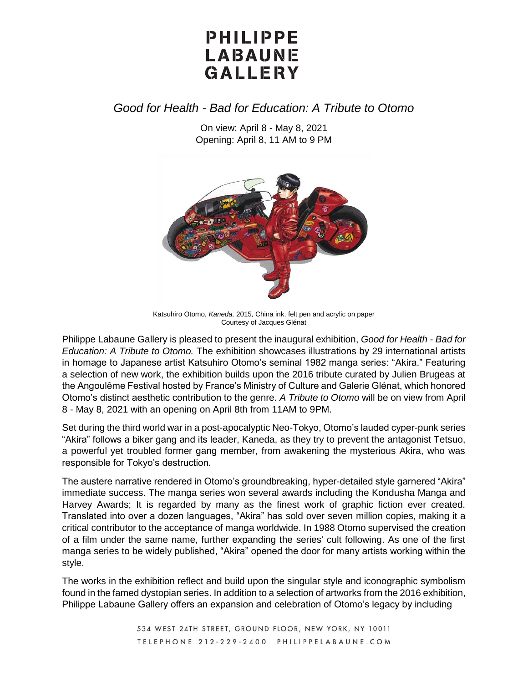# PHILIPPE LABAUNE GALLERY

### *Good for Health - Bad for Education: A Tribute to Otomo*

On view: April 8 - May 8, 2021 Opening: April 8, 11 AM to 9 PM



Katsuhiro Otomo, *Kaneda,* 2015*,* China ink, felt pen and acrylic on paper Courtesy of Jacques Glénat

Philippe Labaune Gallery is pleased to present the inaugural exhibition, *Good for Health - Bad for Education: A Tribute to Otomo.* The exhibition showcases illustrations by 29 international artists in homage to Japanese artist Katsuhiro Otomo's seminal 1982 manga series: "Akira." Featuring a selection of new work, the exhibition builds upon the 2016 tribute curated by Julien Brugeas at the Angoulême Festival hosted by France's Ministry of Culture and Galerie Glénat, which honored Otomo's distinct aesthetic contribution to the genre. *A Tribute to Otomo* will be on view from April 8 - May 8, 2021 with an opening on April 8th from 11AM to 9PM.

Set during the third world war in a post-apocalyptic Neo-Tokyo, Otomo's lauded cyper-punk series "Akira" follows a biker gang and its leader, Kaneda, as they try to prevent the antagonist Tetsuo, a powerful yet troubled former gang member, from awakening the mysterious Akira, who was responsible for Tokyo's destruction*.* 

The austere narrative rendered in Otomo's groundbreaking, hyper-detailed style garnered "Akira" immediate success. The manga series won several awards including the Kondusha Manga and Harvey Awards; It is regarded by many as the finest work of graphic fiction ever created. Translated into over a dozen languages, "Akira" has sold over seven million copies, making it a critical contributor to the acceptance of manga worldwide. In 1988 Otomo supervised the creation of a film under the same name, further expanding the series' cult following. As one of the first manga series to be widely published, "Akira" opened the door for many artists working within the style.

The works in the exhibition reflect and build upon the singular style and iconographic symbolism found in the famed dystopian series. In addition to a selection of artworks from the 2016 exhibition, Philippe Labaune Gallery offers an expansion and celebration of Otomo's legacy by including